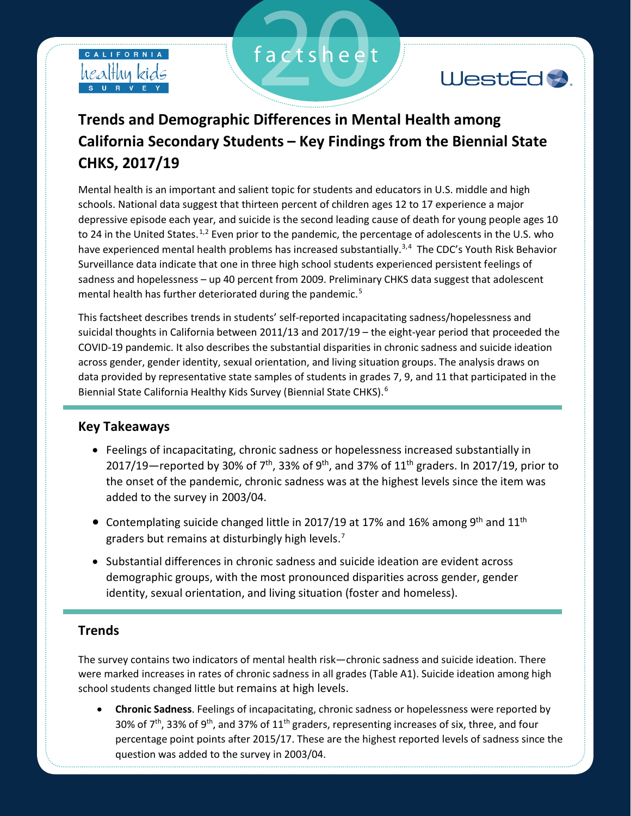



# **Trends and Demographic Differences in Mental Health among California Secondary Students – Key Findings from the Biennial State CHKS, 2017/19**

factsheet

Mental health is an important and salient topic for students and educators in U.S. middle and high schools. National data suggest that thirteen percent of children ages 12 to 17 experience a major depressive episode each year, and suicide is the second leading cause of death for young people ages 10 to 24 in the United States.<sup>1,2</sup> Even prior to the pandemic, the percentage of adolescents in the U.S. who have experienced mental health problems has increased substantially.<sup>3,4</sup> The CDC's Youth Risk Behavior Surveillance data indicate that one in three high school students experienced persistent feelings of sadness and hopelessness – up 40 percent from 2009. Preliminary CHKS data suggest that adolescent mental health has further deteriorated during the pandemic.<sup>5</sup>

This factsheet describes trends in students' self-reported incapacitating sadness/hopelessness and suicidal thoughts in California between 2011/13 and 2017/19 – the eight-year period that proceeded the COVID-19 pandemic. It also describes the substantial disparities in chronic sadness and suicide ideation across gender, gender identity, sexual orientation, and living situation groups. The analysis draws on data provided by representative state samples of students in grades 7, 9, and 11 that participated in the Biennial State California Healthy Kids Survey (Biennial State CHKS).<sup>6</sup>

# **Key Takeaways**

- Feelings of incapacitating, chronic sadness or hopelessness increased substantially in 2017/19—reported by 30% of 7<sup>th</sup>, 33% of 9<sup>th</sup>, and 37% of 11<sup>th</sup> graders. In 2017/19, prior to the onset of the pandemic, chronic sadness was at the highest levels since the item was added to the survey in 2003/04.
- Contemplating suicide changed little in 2017/19 at 17% and 16% among 9<sup>th</sup> and 11<sup>th</sup> graders but remains at disturbingly high levels.<sup>7</sup>
- Substantial differences in chronic sadness and suicide ideation are evident across demographic groups, with the most pronounced disparities across gender, gender identity, sexual orientation, and living situation (foster and homeless).

# **Trends**

The survey contains two indicators of mental health risk—chronic sadness and suicide ideation. There were marked increases in rates of chronic sadness in all grades (Table A1). Suicide ideation among high school students changed little but remains at high levels.

• **Chronic Sadness**. Feelings of incapacitating, chronic sadness or hopelessness were reported by 30% of  $7<sup>th</sup>$ , 33% of 9<sup>th</sup>, and 37% of 11<sup>th</sup> graders, representing increases of six, three, and four percentage point points after 2015/17. These are the highest reported levels of sadness since the question was added to the survey in 2003/04.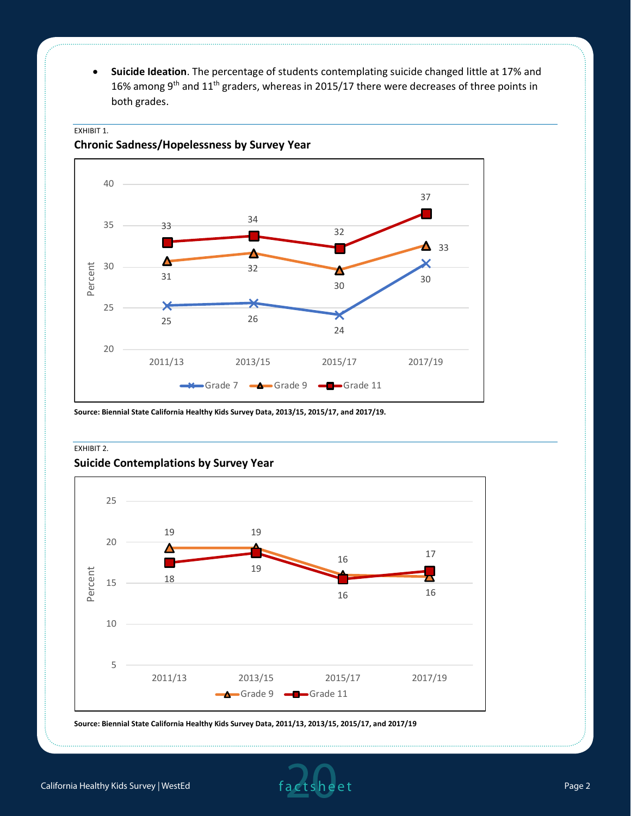• **Suicide Ideation**. The percentage of students contemplating suicide changed little at 17% and 16% among 9<sup>th</sup> and 11<sup>th</sup> graders, whereas in 2015/17 there were decreases of three points in both grades.



### EXHIBIT 1.

**Chronic Sadness/Hopelessness by Survey Year**

**Source: Biennial State California Healthy Kids Survey Data, 2013/15, 2015/17, and 2017/19.** 

#### EXHIBIT 2.

#### **Suicide Contemplations by Survey Year**



**Source: Biennial State California Healthy Kids Survey Data, 2011/13, 2013/15, 2015/17, and 2017/19**

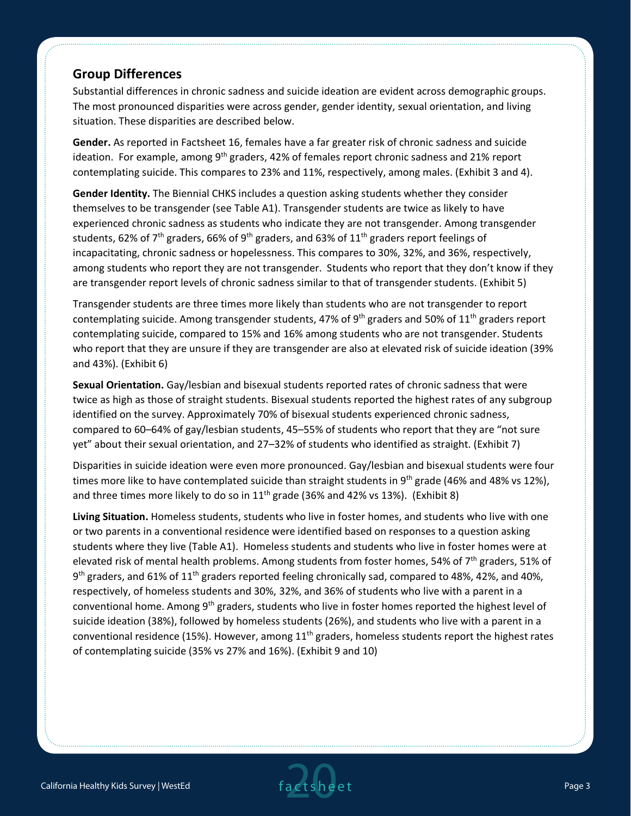# **Group Differences**

Substantial differences in chronic sadness and suicide ideation are evident across demographic groups. The most pronounced disparities were across gender, gender identity, sexual orientation, and living situation. These disparities are described below.

**Gender.** As reported in Factsheet 16, females have a far greater risk of chronic sadness and suicide ideation. For example, among  $9<sup>th</sup>$  graders, 42% of females report chronic sadness and 21% report contemplating suicide. This compares to 23% and 11%, respectively, among males. (Exhibit 3 and 4).

**Gender Identity.** The Biennial CHKS includes a question asking students whether they consider themselves to be transgender (see Table A1). Transgender students are twice as likely to have experienced chronic sadness as students who indicate they are not transgender. Among transgender students, 62% of 7<sup>th</sup> graders, 66% of 9<sup>th</sup> graders, and 63% of 11<sup>th</sup> graders report feelings of incapacitating, chronic sadness or hopelessness. This compares to 30%, 32%, and 36%, respectively, among students who report they are not transgender. Students who report that they don't know if they are transgender report levels of chronic sadness similar to that of transgender students. (Exhibit 5)

Transgender students are three times more likely than students who are not transgender to report contemplating suicide. Among transgender students, 47% of 9<sup>th</sup> graders and 50% of 11<sup>th</sup> graders report contemplating suicide, compared to 15% and 16% among students who are not transgender. Students who report that they are unsure if they are transgender are also at elevated risk of suicide ideation (39% and 43%). (Exhibit 6)

**Sexual Orientation.** Gay/lesbian and bisexual students reported rates of chronic sadness that were twice as high as those of straight students. Bisexual students reported the highest rates of any subgroup identified on the survey. Approximately 70% of bisexual students experienced chronic sadness, compared to 60–64% of gay/lesbian students, 45–55% of students who report that they are "not sure yet" about their sexual orientation, and 27–32% of students who identified as straight. (Exhibit 7)

Disparities in suicide ideation were even more pronounced. Gay/lesbian and bisexual students were four times more like to have contemplated suicide than straight students in 9<sup>th</sup> grade (46% and 48% vs 12%), and three times more likely to do so in  $11<sup>th</sup>$  grade (36% and 42% vs 13%). (Exhibit 8)

**Living Situation.** Homeless students, students who live in foster homes, and students who live with one or two parents in a conventional residence were identified based on responses to a question asking students where they live (Table A1). Homeless students and students who live in foster homes were at elevated risk of mental health problems. Among students from foster homes, 54% of 7th graders, 51% of 9<sup>th</sup> graders, and 61% of 11<sup>th</sup> graders reported feeling chronically sad, compared to 48%, 42%, and 40%, respectively, of homeless students and 30%, 32%, and 36% of students who live with a parent in a conventional home. Among 9<sup>th</sup> graders, students who live in foster homes reported the highest level of suicide ideation (38%), followed by homeless students (26%), and students who live with a parent in a conventional residence (15%). However, among  $11<sup>th</sup>$  graders, homeless students report the highest rates of contemplating suicide (35% vs 27% and 16%). (Exhibit 9 and 10)

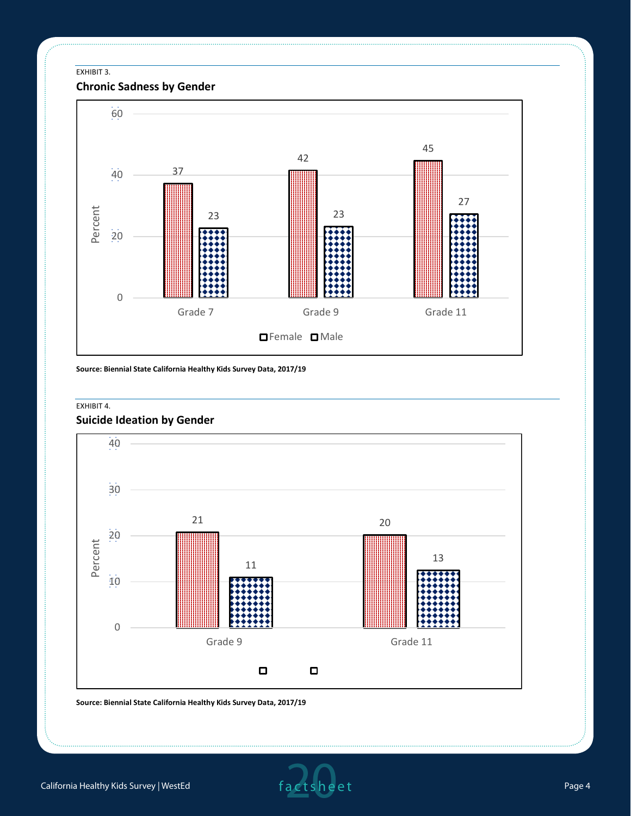#### EXHIBIT 3.

# **Chronic Sadness by Gender**



**Source: Biennial State California Healthy Kids Survey Data, 2017/19**

#### EXHIBIT 4.

# **Suicide Ideation by Gender**



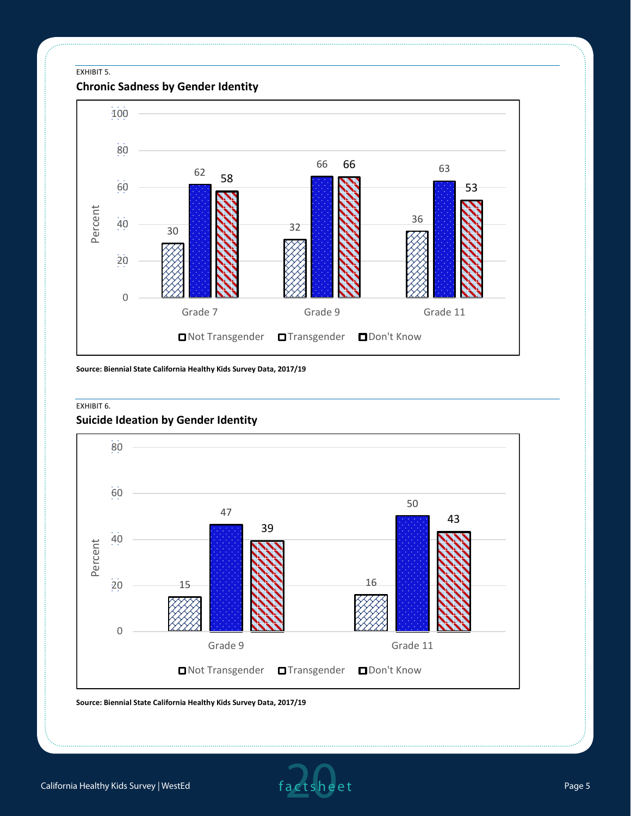#### EXHIBIT 5.

**Chronic Sadness by Gender Identity**



**Source: Biennial State California Healthy Kids Survey Data, 2017/19**

#### EXHIBIT 6.

#### **Suicide Ideation by Gender Identity**

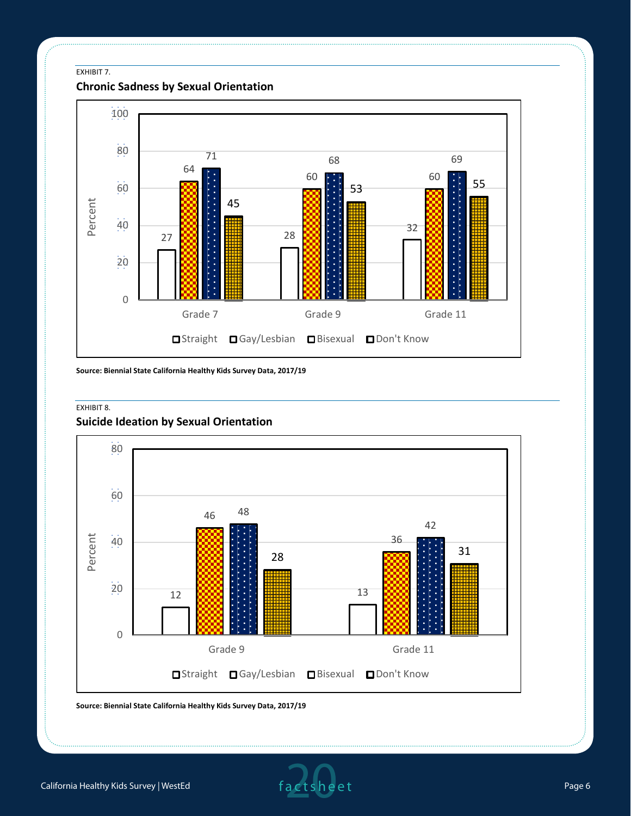EXHIBIT 7.

**Chronic Sadness by Sexual Orientation**



**Source: Biennial State California Healthy Kids Survey Data, 2017/19**

#### EXHIBIT 8.

# **Suicide Ideation by Sexual Orientation**



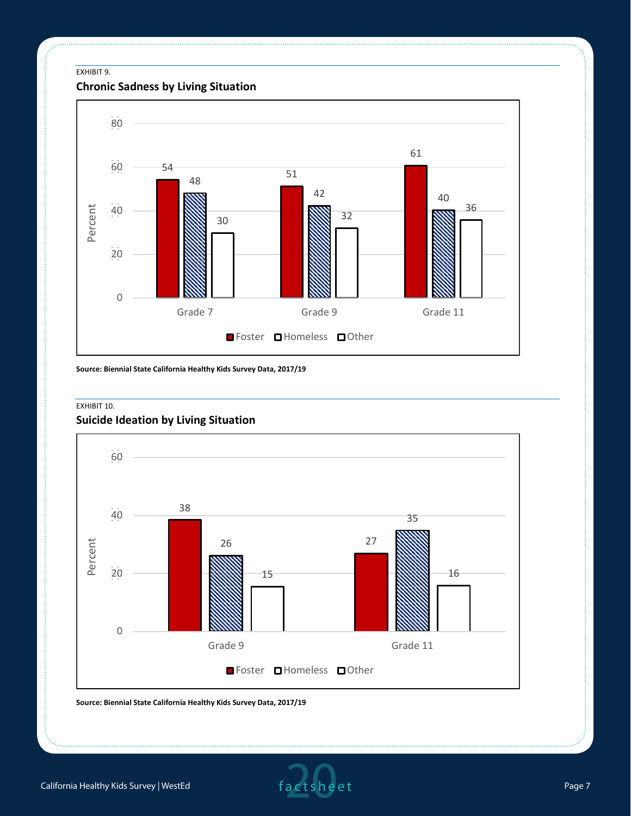#### EXHIBIT 9.

# **Chronic Sadness by Living Situation**



**Source: Biennial State California Healthy Kids Survey Data, 2017/19**

#### EXHIBIT 10.

# **Suicide Ideation by Living Situation**



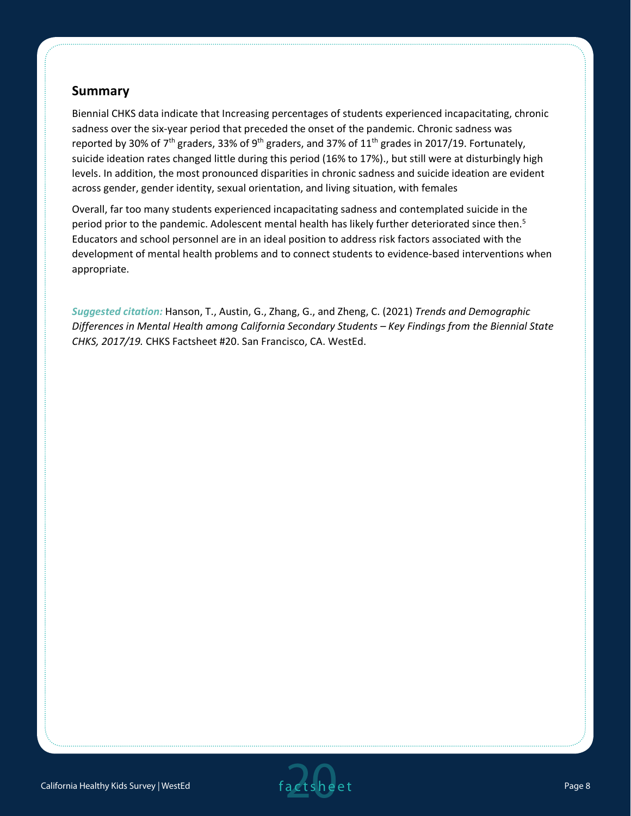# **Summary**

Biennial CHKS data indicate that Increasing percentages of students experienced incapacitating, chronic sadness over the six-year period that preceded the onset of the pandemic. Chronic sadness was reported by 30% of 7<sup>th</sup> graders, 33% of 9<sup>th</sup> graders, and 37% of 11<sup>th</sup> grades in 2017/19. Fortunately, suicide ideation rates changed little during this period (16% to 17%)., but still were at disturbingly high levels. In addition, the most pronounced disparities in chronic sadness and suicide ideation are evident across gender, gender identity, sexual orientation, and living situation, with females

Overall, far too many students experienced incapacitating sadness and contemplated suicide in the period prior to the pandemic. Adolescent mental health has likely further deteriorated since then.<sup>5</sup> Educators and school personnel are in an ideal position to address risk factors associated with the development of mental health problems and to connect students to evidence-based interventions when appropriate.

*Suggested citation:* Hanson, T., Austin, G., Zhang, G., and Zheng, C. (2021) *Trends and Demographic Differences in Mental Health among California Secondary Students – Key Findings from the Biennial State CHKS, 2017/19.* CHKS Factsheet #20. San Francisco, CA. WestEd.

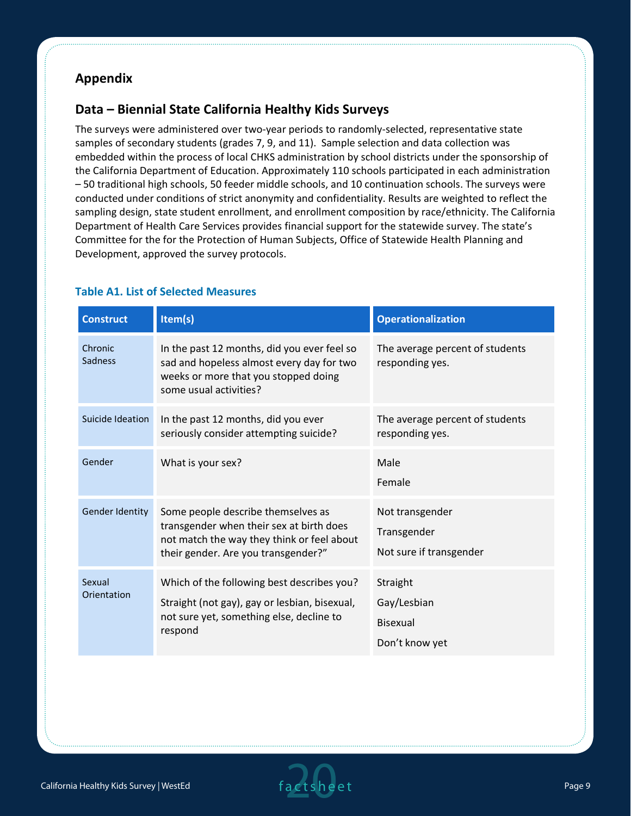# **Appendix**

# **Data – Biennial State California Healthy Kids Surveys**

The surveys were administered over two-year periods to randomly-selected, representative state samples of secondary students (grades 7, 9, and 11). Sample selection and data collection was embedded within the process of local CHKS administration by school districts under the sponsorship of the California Department of Education. Approximately 110 schools participated in each administration – 50 traditional high schools, 50 feeder middle schools, and 10 continuation schools. The surveys were conducted under conditions of strict anonymity and confidentiality. Results are weighted to reflect the sampling design, state student enrollment, and enrollment composition by race/ethnicity. The California Department of Health Care Services provides financial support for the statewide survey. The state's Committee for the for the Protection of Human Subjects, Office of Statewide Health Planning and Development, approved the survey protocols.

| <b>Construct</b>       | Item(s)                                                                                                                                                             | <b>Operationalization</b>                                 |
|------------------------|---------------------------------------------------------------------------------------------------------------------------------------------------------------------|-----------------------------------------------------------|
| Chronic<br>Sadness     | In the past 12 months, did you ever feel so<br>sad and hopeless almost every day for two<br>weeks or more that you stopped doing<br>some usual activities?          | The average percent of students<br>responding yes.        |
| Suicide Ideation       | In the past 12 months, did you ever<br>seriously consider attempting suicide?                                                                                       | The average percent of students<br>responding yes.        |
| Gender                 | What is your sex?                                                                                                                                                   | Male<br>Female                                            |
| <b>Gender Identity</b> | Some people describe themselves as<br>transgender when their sex at birth does<br>not match the way they think or feel about<br>their gender. Are you transgender?" | Not transgender<br>Transgender<br>Not sure if transgender |
| Sexual<br>Orientation  | Which of the following best describes you?<br>Straight (not gay), gay or lesbian, bisexual,<br>not sure yet, something else, decline to<br>respond                  | Straight<br>Gay/Lesbian<br>Bisexual<br>Don't know yet     |

# **Table A1. List of Selected Measures**